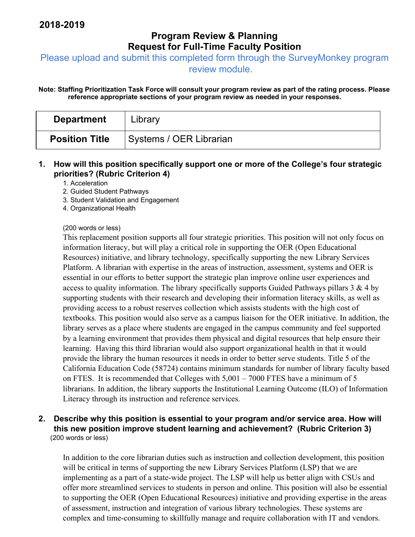# **Program Review & Planning Request for Full-Time Faculty Position**

Please upload and submit this completed form through the SurveyMonkey program

review module.

**Note: Staffing Prioritization Task Force will consult your program review as part of the rating process. Please reference appropriate sections of your program review as needed in your responses.** 

| <b>Department</b>     | Library                 |
|-----------------------|-------------------------|
| <b>Position Title</b> | Systems / OER Librarian |

### **1. How will this position specifically support one or more of the College's four strategic priorities? (Rubric Criterion 4)**

1. Acceleration

- 2. Guided Student Pathways
- 3. Student Validation and Engagement
- 4. Organizational Health

#### (200 words or less)

This replacement position supports all four strategic priorities. This position will not only focus on information literacy, but will play a critical role in supporting the OER (Open Educational Resources) initiative, and library technology, specifically supporting the new Library Services Platform. A librarian with expertise in the areas of instruction, assessment, systems and OER is essential in our efforts to better support the strategic plan improve online user experiences and access to quality information. The library specifically supports Guided Pathways pillars  $3 \& 4$  by supporting students with their research and developing their information literacy skills, as well as providing access to a robust reserves collection which assists students with the high cost of textbooks. This position would also serve as a campus liaison for the OER initiative. In addition, the library serves as a place where students are engaged in the campus community and feel supported by a learning environment that provides them physical and digital resources that help ensure their learning. Having this third librarian would also support organizational health in that it would provide the library the human resources it needs in order to better serve students. Title 5 of the California Education Code (58724) contains minimum standards for number of library faculty based on FTES. It is recommended that Colleges with 5,001 – 7000 FTES have a minimum of 5 librarians. In addition, the library supports the Institutional Learning Outcome (ILO) of Information Literacy through its instruction and reference services.

### **2. Describe why this position is essential to your program and/or service area. How will this new position improve student learning and achievement? (Rubric Criterion 3)**  (200 words or less)

In addition to the core librarian duties such as instruction and collection development, this position will be critical in terms of supporting the new Library Services Platform (LSP) that we are implementing as a part of a state-wide project. The LSP will help us better align with CSUs and offer more streamlined services to students in person and online. This position will also be essential to supporting the OER (Open Educational Resources) initiative and providing expertise in the areas of assessment, instruction and integration of various library technologies. These systems are complex and time-consuming to skillfully manage and require collaboration with IT and vendors.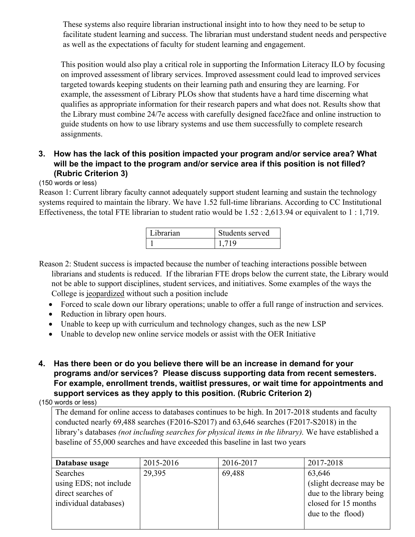These systems also require librarian instructional insight into to how they need to be setup to facilitate student learning and success. The librarian must understand student needs and perspective as well as the expectations of faculty for student learning and engagement.

This position would also play a critical role in supporting the Information Literacy ILO by focusing on improved assessment of library services. Improved assessment could lead to improved services targeted towards keeping students on their learning path and ensuring they are learning. For example, the assessment of Library PLOs show that students have a hard time discerning what qualifies as appropriate information for their research papers and what does not. Results show that the Library must combine 24/7e access with carefully designed face2face and online instruction to guide students on how to use library systems and use them successfully to complete research assignments.

## **3. How has the lack of this position impacted your program and/or service area? What will be the impact to the program and/or service area if this position is not filled? (Rubric Criterion 3)**

(150 words or less)

Reason 1: Current library faculty cannot adequately support student learning and sustain the technology systems required to maintain the library. We have 1.52 full-time librarians. According to CC Institutional Effectiveness, the total FTE librarian to student ratio would be 1.52 : 2,613.94 or equivalent to 1 : 1,719.

| Librarian | Students served |
|-----------|-----------------|
|           | 719             |

Reason 2: Student success is impacted because the number of teaching interactions possible between librarians and students is reduced. If the librarian FTE drops below the current state, the Library would not be able to support disciplines, student services, and initiatives. Some examples of the ways the College is jeopardized without such a position include

- Forced to scale down our library operations; unable to offer a full range of instruction and services.
- Reduction in library open hours.
- Unable to keep up with curriculum and technology changes, such as the new LSP
- Unable to develop new online service models or assist with the OER Initiative
- **4. Has there been or do you believe there will be an increase in demand for your programs and/or services? Please discuss supporting data from recent semesters. For example, enrollment trends, waitlist pressures, or wait time for appointments and support services as they apply to this position. (Rubric Criterion 2)**

(150 words or less)

The demand for online access to databases continues to be high. In 2017-2018 students and faculty conducted nearly 69,488 searches (F2016-S2017) and 63,646 searches (F2017-S2018) in the library's databases *(not including searches for physical items in the library).* We have established a baseline of 55,000 searches and have exceeded this baseline in last two years

| Database usage         | 2015-2016 | 2016-2017 | 2017-2018                |
|------------------------|-----------|-----------|--------------------------|
| Searches               | 29,395    | 69,488    | 63,646                   |
| using EDS; not include |           |           | (slight decrease may be) |
| direct searches of     |           |           | due to the library being |
| individual databases)  |           |           | closed for 15 months     |
|                        |           |           | due to the flood)        |
|                        |           |           |                          |